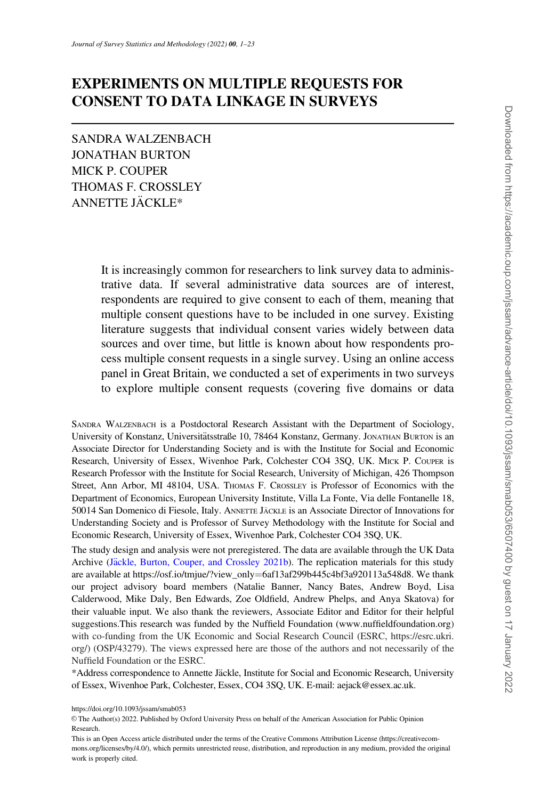# EXPERIMENTS ON MULTIPLE REQUESTS FOR CONSENT TO DATA LINKAGE IN SURVEYS

SANDRA WALZENBACH JONATHAN BURTON MICK P. COUPER THOMAS F. CROSSLEY ANNETTE JACKLE\* €

> It is increasingly common for researchers to link survey data to administrative data. If several administrative data sources are of interest, respondents are required to give consent to each of them, meaning that multiple consent questions have to be included in one survey. Existing literature suggests that individual consent varies widely between data sources and over time, but little is known about how respondents process multiple consent requests in a single survey. Using an online access panel in Great Britain, we conducted a set of experiments in two surveys to explore multiple consent requests (covering five domains or data

SANDRA WALZENBACH is a Postdoctoral Research Assistant with the Department of Sociology, University of Konstanz, Universitätsstraße 10, 78464 Konstanz, Germany. JONATHAN BURTON is an Associate Director for Understanding Society and is with the Institute for Social and Economic Research, University of Essex, Wivenhoe Park, Colchester CO4 3SQ, UK. MICK P. COUPER is Research Professor with the Institute for Social Research, University of Michigan, 426 Thompson Street, Ann Arbor, MI 48104, USA. THOMAS F. CROSSLEY is Professor of Economics with the Department of Economics, European University Institute, Villa La Fonte, Via delle Fontanelle 18, 50014 San Domenico di Fiesole, Italy. ANNETTE JÄCKLE is an Associate Director of Innovations for Understanding Society and is Professor of Survey Methodology with the Institute for Social and Economic Research, University of Essex, Wivenhoe Park, Colchester CO4 3SQ, UK.

The study design and analysis were not preregistered. The data are available through the UK Data Archive ([J](#page-21-0)äckle, Burton, Couper, and Crossley 2021b). The replication materials for this study are available at https://osf.io/tmjue/?view\_only=6af13af299b445c4bf3a920113a548d8. We thank our project advisory board members (Natalie Banner, Nancy Bates, Andrew Boyd, Lisa Calderwood, Mike Daly, Ben Edwards, Zoe Oldfield, Andrew Phelps, and Anya Skatova) for their valuable input. We also thank the reviewers, Associate Editor and Editor for their helpful suggestions.This research was funded by the Nuffield Foundation ([www.nuffieldfoundation.org](http://www.nuffieldfoundation.org)) with co-funding from the UK Economic and Social Research Council (ESRC, [https://esrc.ukri.](https://esrc.ukri.org/) [org/\)](https://esrc.ukri.org/) (OSP/43279). The views expressed here are those of the authors and not necessarily of the Nuffield Foundation or the ESRC.

\*Address correspondence to Annette Jäckle, Institute for Social and Economic Research, University of Essex, Wivenhoe Park, Colchester, Essex, CO4 3SQ, UK. E-mail: aejack@essex.ac.uk.

https://doi.org/10.1093/jssam/smab053

V<sup>C</sup> The Author(s) 2022. Published by Oxford University Press on behalf of the American Association for Public Opinion Research.

This is an Open Access article distributed under the terms of the Creative Commons Attribution License (https://creativecommons.org/licenses/by/4.0/), which permits unrestricted reuse, distribution, and reproduction in any medium, provided the original work is properly cited.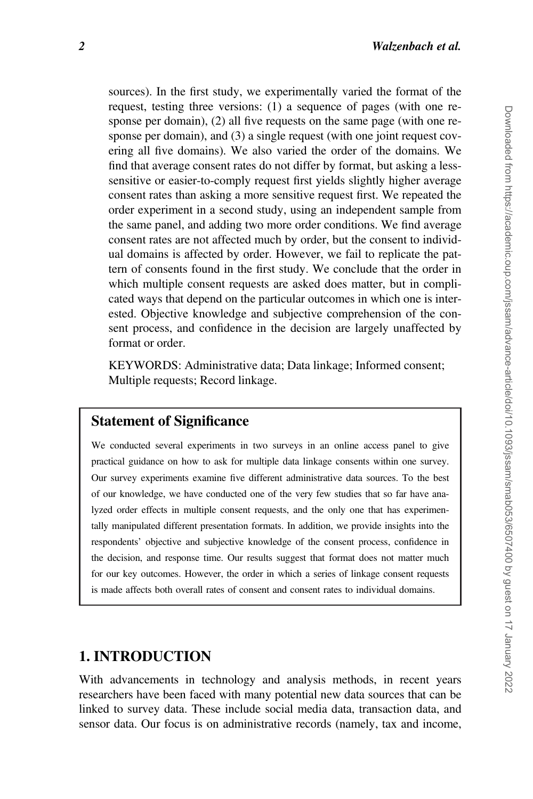sources). In the first study, we experimentally varied the format of the request, testing three versions: (1) a sequence of pages (with one response per domain), (2) all five requests on the same page (with one response per domain), and (3) a single request (with one joint request covering all five domains). We also varied the order of the domains. We find that average consent rates do not differ by format, but asking a lesssensitive or easier-to-comply request first yields slightly higher average consent rates than asking a more sensitive request first. We repeated the order experiment in a second study, using an independent sample from the same panel, and adding two more order conditions. We find average consent rates are not affected much by order, but the consent to individual domains is affected by order. However, we fail to replicate the pattern of consents found in the first study. We conclude that the order in which multiple consent requests are asked does matter, but in complicated ways that depend on the particular outcomes in which one is interested. Objective knowledge and subjective comprehension of the consent process, and confidence in the decision are largely unaffected by format or order.

KEYWORDS: Administrative data; Data linkage; Informed consent; Multiple requests; Record linkage.

### Statement of Significance

We conducted several experiments in two surveys in an online access panel to give practical guidance on how to ask for multiple data linkage consents within one survey. Our survey experiments examine five different administrative data sources. To the best of our knowledge, we have conducted one of the very few studies that so far have analyzed order effects in multiple consent requests, and the only one that has experimentally manipulated different presentation formats. In addition, we provide insights into the respondents' objective and subjective knowledge of the consent process, confidence in the decision, and response time. Our results suggest that format does not matter much for our key outcomes. However, the order in which a series of linkage consent requests is made affects both overall rates of consent and consent rates to individual domains.

### 1. INTRODUCTION

With advancements in technology and analysis methods, in recent years researchers have been faced with many potential new data sources that can be linked to survey data. These include social media data, transaction data, and sensor data. Our focus is on administrative records (namely, tax and income,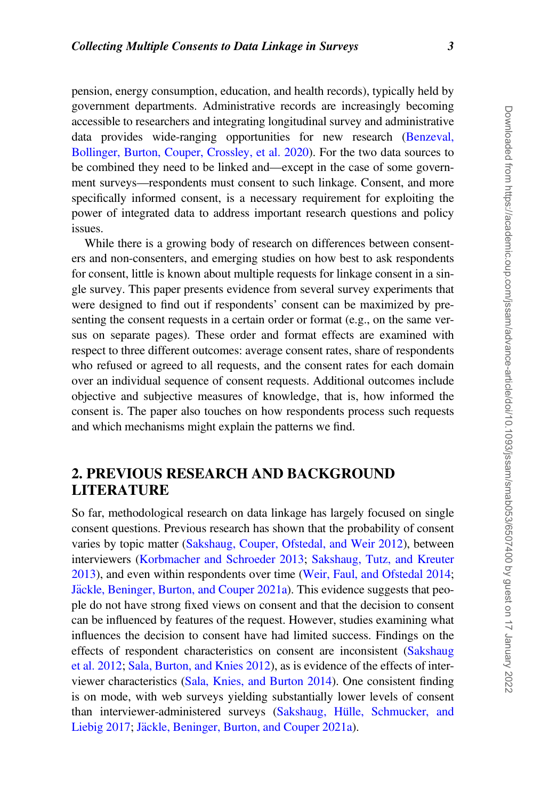pension, energy consumption, education, and health records), typically held by government departments. Administrative records are increasingly becoming accessible to researchers and integrating longitudinal survey and administrative data provides wide-ranging opportunities for new research [\(Benzeval,](#page-20-0) [Bollinger, Burton, Couper, Crossley, et al. 2020](#page-20-0)). For the two data sources to be combined they need to be linked and—except in the case of some government surveys—respondents must consent to such linkage. Consent, and more specifically informed consent, is a necessary requirement for exploiting the power of integrated data to address important research questions and policy issues.

While there is a growing body of research on differences between consenters and non-consenters, and emerging studies on how best to ask respondents for consent, little is known about multiple requests for linkage consent in a single survey. This paper presents evidence from several survey experiments that were designed to find out if respondents' consent can be maximized by presenting the consent requests in a certain order or format (e.g., on the same versus on separate pages). These order and format effects are examined with respect to three different outcomes: average consent rates, share of respondents who refused or agreed to all requests, and the consent rates for each domain over an individual sequence of consent requests. Additional outcomes include objective and subjective measures of knowledge, that is, how informed the consent is. The paper also touches on how respondents process such requests and which mechanisms might explain the patterns we find.

## 2. PREVIOUS RESEARCH AND BACKGROUND LITERATURE

So far, methodological research on data linkage has largely focused on single consent questions. Previous research has shown that the probability of consent varies by topic matter ([Sakshaug, Couper, Ofstedal, and Weir 2012\)](#page-21-0), between interviewers ([Korbmacher and Schroeder 2013](#page-21-0); [Sakshaug, Tutz, and Kreuter](#page-21-0) [2013\)](#page-21-0), and even within respondents over time [\(Weir, Faul, and Ofstedal 2014](#page-22-0); [J](#page-20-0)äckle, Beninger, Burton, and Couper 2021a). This evidence suggests that people do not have strong fixed views on consent and that the decision to consent can be influenced by features of the request. However, studies examining what influences the decision to consent have had limited success. Findings on the effects of respondent characteristics on consent are inconsistent [\(Sakshaug](#page-21-0) [et al. 2012;](#page-21-0) [Sala, Burton, and Knies 2012](#page-21-0)), as is evidence of the effects of interviewer characteristics ([Sala, Knies, and Burton 2014\)](#page-22-0). One consistent finding is on mode, with web surveys yielding substantially lower levels of consent than interviewer-administered surveys (Sakshaug, Hülle, Schmucker, and [Liebig 2017;](#page-21-0) [J](#page-20-0)äckle, Beninger, Burton, and Couper 2021a).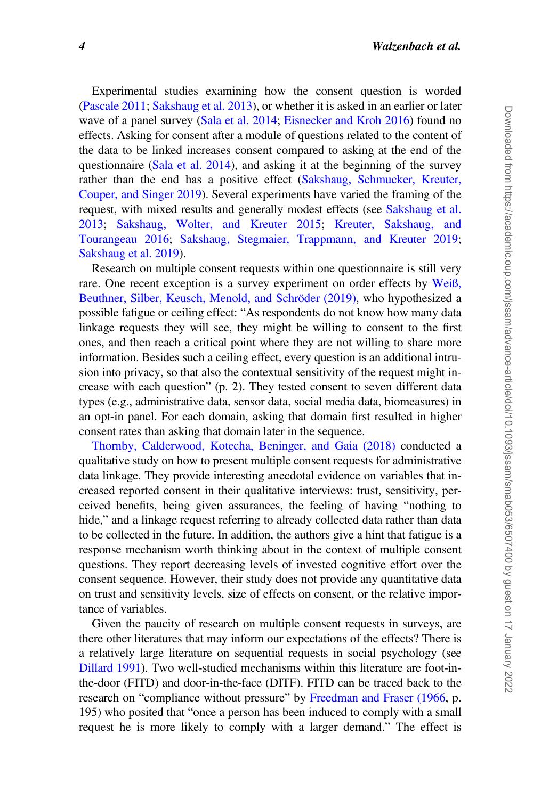Experimental studies examining how the consent question is worded [\(Pascale 2011;](#page-21-0) [Sakshaug et al. 2013](#page-21-0)), or whether it is asked in an earlier or later wave of a panel survey ([Sala et al. 2014;](#page-22-0) [Eisnecker and Kroh 2016\)](#page-20-0) found no effects. Asking for consent after a module of questions related to the content of the data to be linked increases consent compared to asking at the end of the questionnaire [\(Sala et al. 2014\)](#page-22-0), and asking it at the beginning of the survey rather than the end has a positive effect ([Sakshaug, Schmucker, Kreuter,](#page-21-0) [Couper, and Singer 2019](#page-21-0)). Several experiments have varied the framing of the request, with mixed results and generally modest effects (see [Sakshaug et al.](#page-21-0) [2013;](#page-21-0) [Sakshaug, Wolter, and Kreuter 2015](#page-21-0); [Kreuter, Sakshaug, and](#page-21-0) [Tourangeau 2016](#page-21-0); [Sakshaug, Stegmaier, Trappmann, and Kreuter 2019](#page-21-0); [Sakshaug et al. 2019](#page-21-0)).

Research on multiple consent requests within one questionnaire is still very rare. One recent exception is a survey experiment on order effects by [Wei](#page-22-0)ß[,](#page-22-0) Beuthner, Silber, Keusch, Menold, and Schröder (2019), who hypothesized a possible fatigue or ceiling effect: "As respondents do not know how many data linkage requests they will see, they might be willing to consent to the first ones, and then reach a critical point where they are not willing to share more information. Besides such a ceiling effect, every question is an additional intrusion into privacy, so that also the contextual sensitivity of the request might increase with each question" (p. 2). They tested consent to seven different data types (e.g., administrative data, sensor data, social media data, biomeasures) in an opt-in panel. For each domain, asking that domain first resulted in higher consent rates than asking that domain later in the sequence.

[Thornby, Calderwood, Kotecha, Beninger, and Gaia \(2018\)](#page-22-0) conducted a qualitative study on how to present multiple consent requests for administrative data linkage. They provide interesting anecdotal evidence on variables that increased reported consent in their qualitative interviews: trust, sensitivity, perceived benefits, being given assurances, the feeling of having "nothing to hide," and a linkage request referring to already collected data rather than data to be collected in the future. In addition, the authors give a hint that fatigue is a response mechanism worth thinking about in the context of multiple consent questions. They report decreasing levels of invested cognitive effort over the consent sequence. However, their study does not provide any quantitative data on trust and sensitivity levels, size of effects on consent, or the relative importance of variables.

Given the paucity of research on multiple consent requests in surveys, are there other literatures that may inform our expectations of the effects? There is a relatively large literature on sequential requests in social psychology (see [Dillard 1991](#page-20-0)). Two well-studied mechanisms within this literature are foot-inthe-door (FITD) and door-in-the-face (DITF). FITD can be traced back to the research on "compliance without pressure" by [Freedman and Fraser \(1966](#page-20-0), p. 195) who posited that "once a person has been induced to comply with a small request he is more likely to comply with a larger demand." The effect is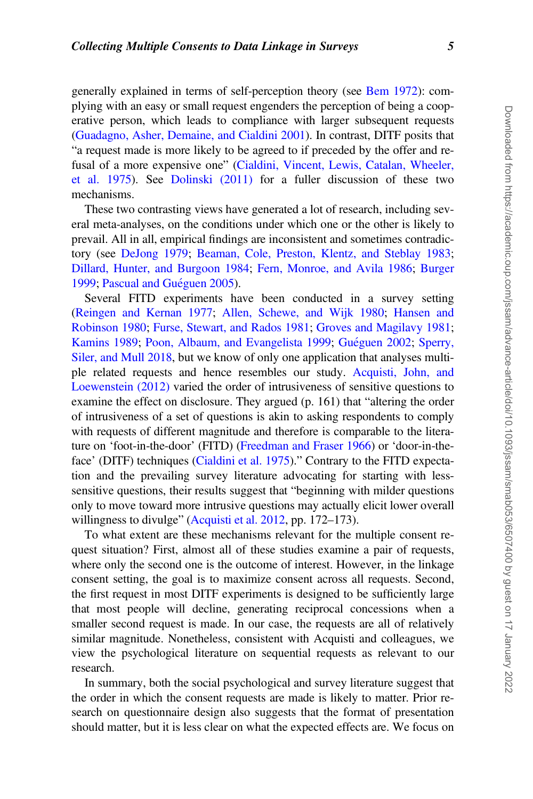generally explained in terms of self-perception theory (see [Bem 1972\)](#page-20-0): complying with an easy or small request engenders the perception of being a cooperative person, which leads to compliance with larger subsequent requests [\(Guadagno, Asher, Demaine, and Cialdini 2001\)](#page-20-0). In contrast, DITF posits that "a request made is more likely to be agreed to if preceded by the offer and re-fusal of a more expensive one" [\(Cialdini, Vincent, Lewis, Catalan, Wheeler,](#page-20-0) [et al. 1975](#page-20-0)). See [Dolinski \(2011\)](#page-20-0) for a fuller discussion of these two mechanisms.

These two contrasting views have generated a lot of research, including several meta-analyses, on the conditions under which one or the other is likely to prevail. All in all, empirical findings are inconsistent and sometimes contradictory (see [DeJong 1979;](#page-20-0) [Beaman, Cole, Preston, Klentz, and Steblay 1983](#page-20-0); [Dillard, Hunter, and Burgoon 1984](#page-20-0); [Fern, Monroe, and Avila 1986](#page-20-0); [Burger](#page-20-0) [1999;](#page-20-0) [Pascual and Gu](#page-21-0)éguen 2005).

Several FITD experiments have been conducted in a survey setting [\(Reingen and Kernan 1977](#page-21-0); [Allen, Schewe, and Wijk 1980](#page-19-0); [Hansen and](#page-20-0) [Robinson 1980;](#page-20-0) [Furse, Stewart, and Rados 1981;](#page-20-0) [Groves and Magilavy 1981](#page-20-0); [Kamins 1989;](#page-21-0) [Poon, Albaum, and Evangelista 1999](#page-21-0); [Gu](#page-20-0)é[guen 2002](#page-20-0); [Sperry,](#page-22-0) [Siler, and Mull 2018](#page-22-0), but we know of only one application that analyses multiple related requests and hence resembles our study. [Acquisti, John, and](#page-19-0) [Loewenstein \(2012\)](#page-19-0) varied the order of intrusiveness of sensitive questions to examine the effect on disclosure. They argued (p. 161) that "altering the order of intrusiveness of a set of questions is akin to asking respondents to comply with requests of different magnitude and therefore is comparable to the literature on 'foot-in-the-door' (FITD) ([Freedman and Fraser 1966\)](#page-20-0) or 'door-in-theface' (DITF) techniques ([Cialdini et al. 1975\)](#page-20-0)." Contrary to the FITD expectation and the prevailing survey literature advocating for starting with lesssensitive questions, their results suggest that "beginning with milder questions only to move toward more intrusive questions may actually elicit lower overall willingness to divulge" [\(Acquisti et al. 2012](#page-19-0), pp. 172–173).

To what extent are these mechanisms relevant for the multiple consent request situation? First, almost all of these studies examine a pair of requests, where only the second one is the outcome of interest. However, in the linkage consent setting, the goal is to maximize consent across all requests. Second, the first request in most DITF experiments is designed to be sufficiently large that most people will decline, generating reciprocal concessions when a smaller second request is made. In our case, the requests are all of relatively similar magnitude. Nonetheless, consistent with Acquisti and colleagues, we view the psychological literature on sequential requests as relevant to our research.

In summary, both the social psychological and survey literature suggest that the order in which the consent requests are made is likely to matter. Prior research on questionnaire design also suggests that the format of presentation should matter, but it is less clear on what the expected effects are. We focus on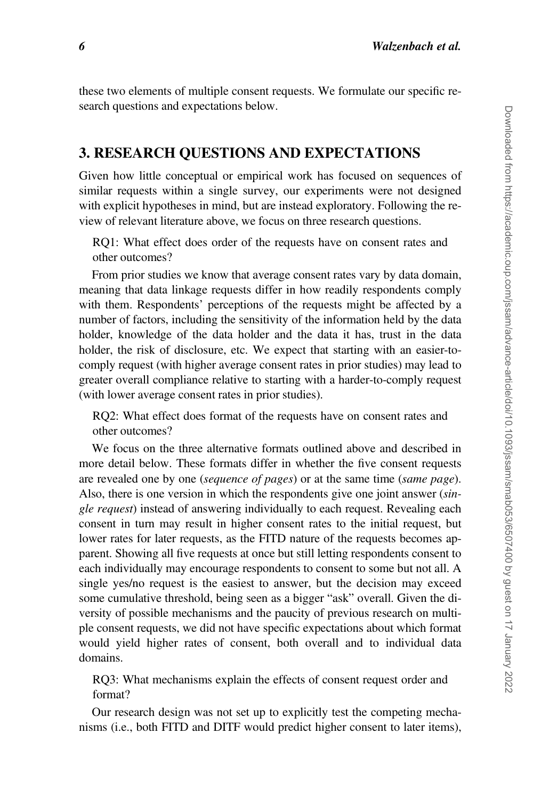these two elements of multiple consent requests. We formulate our specific research questions and expectations below.

## 3. RESEARCH QUESTIONS AND EXPECTATIONS

Given how little conceptual or empirical work has focused on sequences of similar requests within a single survey, our experiments were not designed with explicit hypotheses in mind, but are instead exploratory. Following the review of relevant literature above, we focus on three research questions.

RQ1: What effect does order of the requests have on consent rates and other outcomes?

From prior studies we know that average consent rates vary by data domain, meaning that data linkage requests differ in how readily respondents comply with them. Respondents' perceptions of the requests might be affected by a number of factors, including the sensitivity of the information held by the data holder, knowledge of the data holder and the data it has, trust in the data holder, the risk of disclosure, etc. We expect that starting with an easier-tocomply request (with higher average consent rates in prior studies) may lead to greater overall compliance relative to starting with a harder-to-comply request (with lower average consent rates in prior studies).

RQ2: What effect does format of the requests have on consent rates and other outcomes?

We focus on the three alternative formats outlined above and described in more detail below. These formats differ in whether the five consent requests are revealed one by one (sequence of pages) or at the same time (same page). Also, there is one version in which the respondents give one joint answer (single request) instead of answering individually to each request. Revealing each consent in turn may result in higher consent rates to the initial request, but lower rates for later requests, as the FITD nature of the requests becomes apparent. Showing all five requests at once but still letting respondents consent to each individually may encourage respondents to consent to some but not all. A single yes/no request is the easiest to answer, but the decision may exceed some cumulative threshold, being seen as a bigger "ask" overall. Given the diversity of possible mechanisms and the paucity of previous research on multiple consent requests, we did not have specific expectations about which format would yield higher rates of consent, both overall and to individual data domains.

RQ3: What mechanisms explain the effects of consent request order and format?

Our research design was not set up to explicitly test the competing mechanisms (i.e., both FITD and DITF would predict higher consent to later items),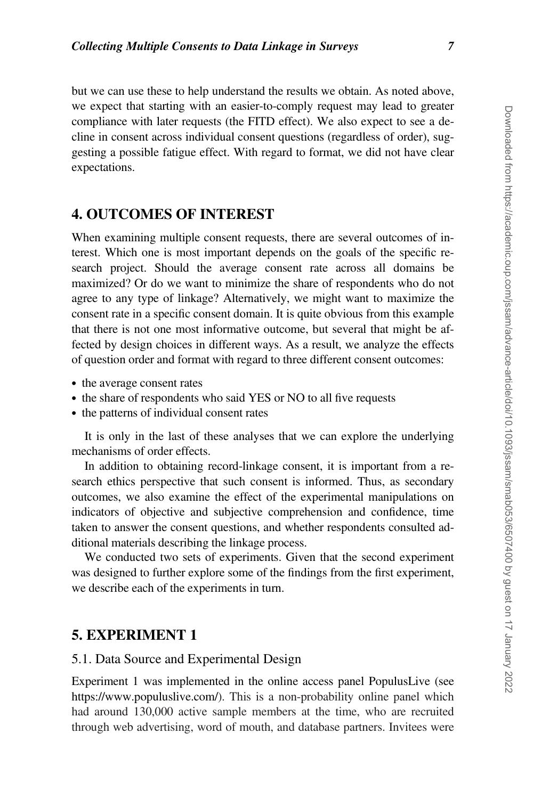but we can use these to help understand the results we obtain. As noted above, we expect that starting with an easier-to-comply request may lead to greater compliance with later requests (the FITD effect). We also expect to see a decline in consent across individual consent questions (regardless of order), suggesting a possible fatigue effect. With regard to format, we did not have clear expectations.

## 4. OUTCOMES OF INTEREST

When examining multiple consent requests, there are several outcomes of interest. Which one is most important depends on the goals of the specific research project. Should the average consent rate across all domains be maximized? Or do we want to minimize the share of respondents who do not agree to any type of linkage? Alternatively, we might want to maximize the consent rate in a specific consent domain. It is quite obvious from this example that there is not one most informative outcome, but several that might be affected by design choices in different ways. As a result, we analyze the effects of question order and format with regard to three different consent outcomes:

- the average consent rates
- the share of respondents who said YES or NO to all five requests
- the patterns of individual consent rates

It is only in the last of these analyses that we can explore the underlying mechanisms of order effects.

In addition to obtaining record-linkage consent, it is important from a research ethics perspective that such consent is informed. Thus, as secondary outcomes, we also examine the effect of the experimental manipulations on indicators of objective and subjective comprehension and confidence, time taken to answer the consent questions, and whether respondents consulted additional materials describing the linkage process.

We conducted two sets of experiments. Given that the second experiment was designed to further explore some of the findings from the first experiment, we describe each of the experiments in turn.

### 5. EXPERIMENT 1

#### 5.1. Data Source and Experimental Design

Experiment 1 was implemented in the online access panel PopulusLive (see [https://www.populuslive.com/\)](https://www.populuslive.com/). This is a non-probability online panel which had around 130,000 active sample members at the time, who are recruited through web advertising, word of mouth, and database partners. Invitees were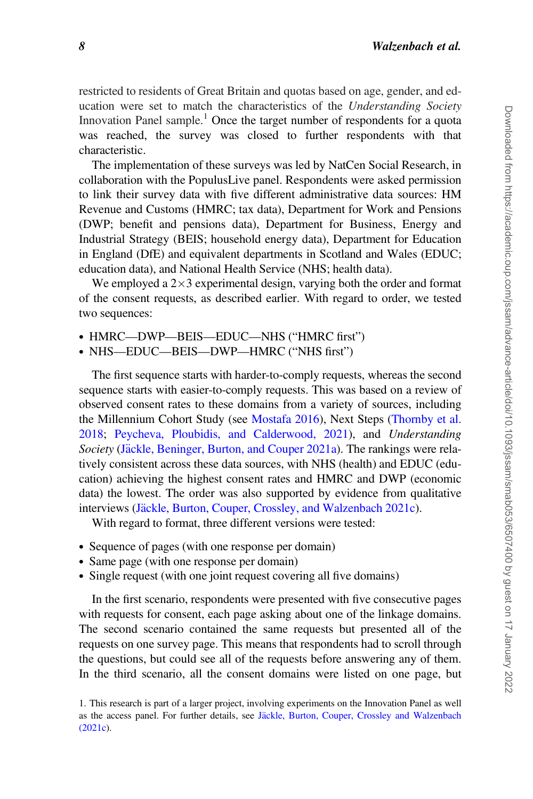restricted to residents of Great Britain and quotas based on age, gender, and education were set to match the characteristics of the Understanding Society Innovation Panel sample.<sup>1</sup> Once the target number of respondents for a quota was reached, the survey was closed to further respondents with that characteristic.

The implementation of these surveys was led by NatCen Social Research, in collaboration with the PopulusLive panel. Respondents were asked permission to link their survey data with five different administrative data sources: HM Revenue and Customs (HMRC; tax data), Department for Work and Pensions (DWP; benefit and pensions data), Department for Business, Energy and Industrial Strategy (BEIS; household energy data), Department for Education in England (DfE) and equivalent departments in Scotland and Wales (EDUC; education data), and National Health Service (NHS; health data).

We employed a  $2\times 3$  experimental design, varying both the order and format of the consent requests, as described earlier. With regard to order, we tested two sequences:

- HMRC—DWP—BEIS—EDUC—NHS ("HMRC first")
- NHS—EDUC—BEIS—DWP—HMRC ("NHS first")

The first sequence starts with harder-to-comply requests, whereas the second sequence starts with easier-to-comply requests. This was based on a review of observed consent rates to these domains from a variety of sources, including the Millennium Cohort Study (see [Mostafa 2016\)](#page-21-0), Next Steps [\(Thornby et al.](#page-22-0) [2018;](#page-22-0) [Peycheva, Ploubidis, and Calderwood, 2021](#page-21-0)), and Understanding Society ([J](#page-20-0)äckle, Beninger, Burton, and Couper 2021a). The rankings were relatively consistent across these data sources, with NHS (health) and EDUC (education) achieving the highest consent rates and HMRC and DWP (economic data) the lowest. The order was also supported by evidence from qualitative interviews [\(J](#page-21-0)äckle, Burton, Couper, Crossley, and Walzenbach 2021c).

With regard to format, three different versions were tested:

- Sequence of pages (with one response per domain)
- Same page (with one response per domain)
- Single request (with one joint request covering all five domains)

In the first scenario, respondents were presented with five consecutive pages with requests for consent, each page asking about one of the linkage domains. The second scenario contained the same requests but presented all of the requests on one survey page. This means that respondents had to scroll through the questions, but could see all of the requests before answering any of them. In the third scenario, all the consent domains were listed on one page, but

<sup>1.</sup> This research is part of a larger project, involving experiments on the Innovation Panel as well as the access panel. For further details, see [J](#page-21-0)ä[ckle, Burton, Couper, Crossley and Walzenbach](#page-21-0) [\(2021c](#page-21-0)).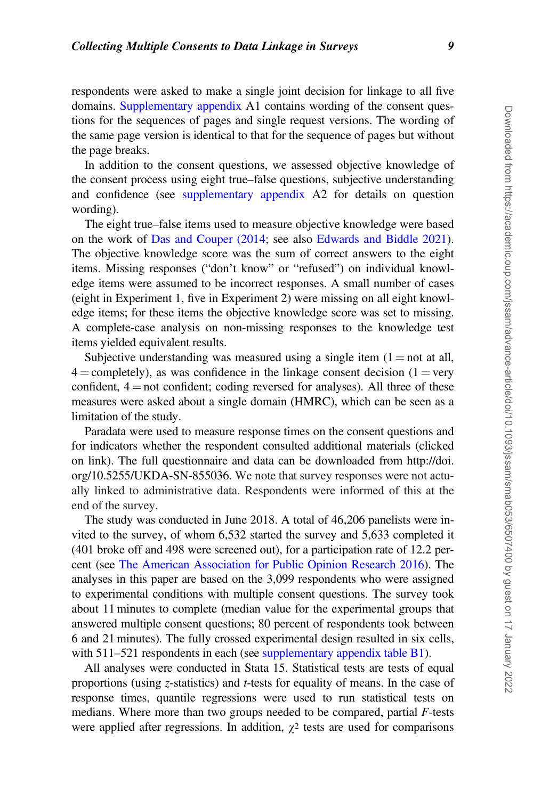respondents were asked to make a single joint decision for linkage to all five domains. [Supplementary appendix](https://academic.oup.com/jssam/article-lookup/doi/10.1093/jssam/smab053#supplementary-data) A1 contains wording of the consent questions for the sequences of pages and single request versions. The wording of the same page version is identical to that for the sequence of pages but without the page breaks.

In addition to the consent questions, we assessed objective knowledge of the consent process using eight true–false questions, subjective understanding and confidence (see [supplementary appendix](https://academic.oup.com/jssam/article-lookup/doi/10.1093/jssam/smab053#supplementary-data) A2 for details on question wording).

The eight true–false items used to measure objective knowledge were based on the work of [Das and Couper \(2014](#page-20-0); see also [Edwards and Biddle 2021](#page-20-0)). The objective knowledge score was the sum of correct answers to the eight items. Missing responses ("don't know" or "refused") on individual knowledge items were assumed to be incorrect responses. A small number of cases (eight in Experiment 1, five in Experiment 2) were missing on all eight knowledge items; for these items the objective knowledge score was set to missing. A complete-case analysis on non-missing responses to the knowledge test items yielded equivalent results.

Subjective understanding was measured using a single item  $(1 = not at all,$  $4 =$ completely), as was confidence in the linkage consent decision (1 = very confident,  $4 = not confident$ ; coding reversed for analyses). All three of these measures were asked about a single domain (HMRC), which can be seen as a limitation of the study.

Paradata were used to measure response times on the consent questions and for indicators whether the respondent consulted additional materials (clicked on link). The full questionnaire and data can be downloaded from [http://doi.](http://doi.org/10.5255/UKDA-SN-855036) [org/10.5255/UKDA-SN-855036.](http://doi.org/10.5255/UKDA-SN-855036) We note that survey responses were not actually linked to administrative data. Respondents were informed of this at the end of the survey.

The study was conducted in June 2018. A total of 46,206 panelists were invited to the survey, of whom 6,532 started the survey and 5,633 completed it (401 broke off and 498 were screened out), for a participation rate of 12.2 percent (see [The American Association for Public Opinion Research 2016\)](#page-19-0). The analyses in this paper are based on the 3,099 respondents who were assigned to experimental conditions with multiple consent questions. The survey took about 11 minutes to complete (median value for the experimental groups that answered multiple consent questions; 80 percent of respondents took between 6 and 21 minutes). The fully crossed experimental design resulted in six cells, with 511–521 respondents in each (see [supplementary appendix table B1](https://academic.oup.com/jssam/article-lookup/doi/10.1093/jssam/smab053#supplementary-data)).

All analyses were conducted in Stata 15. Statistical tests are tests of equal proportions (using z-statistics) and t-tests for equality of means. In the case of response times, quantile regressions were used to run statistical tests on medians. Where more than two groups needed to be compared, partial F-tests were applied after regressions. In addition,  $\chi^2$  tests are used for comparisons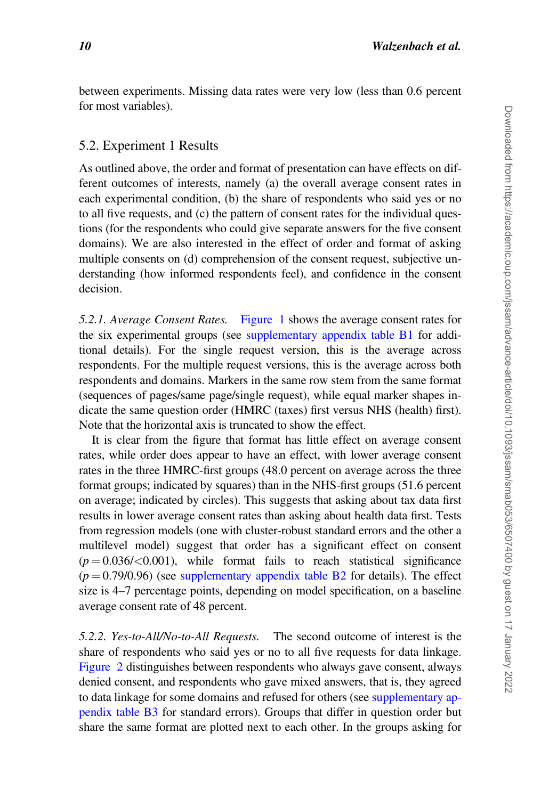between experiments. Missing data rates were very low (less than 0.6 percent for most variables).

#### 5.2. Experiment 1 Results

As outlined above, the order and format of presentation can have effects on different outcomes of interests, namely (a) the overall average consent rates in each experimental condition, (b) the share of respondents who said yes or no to all five requests, and (c) the pattern of consent rates for the individual questions (for the respondents who could give separate answers for the five consent domains). We are also interested in the effect of order and format of asking multiple consents on (d) comprehension of the consent request, subjective understanding (how informed respondents feel), and confidence in the consent decision.

5.2.1. Average Consent Rates. [Figure 1](#page-10-0) shows the average consent rates for the six experimental groups (see [supplementary appendix table B1](https://academic.oup.com/jssam/article-lookup/doi/10.1093/jssam/smab053#supplementary-data) for additional details). For the single request version, this is the average across respondents. For the multiple request versions, this is the average across both respondents and domains. Markers in the same row stem from the same format (sequences of pages/same page/single request), while equal marker shapes indicate the same question order (HMRC (taxes) first versus NHS (health) first). Note that the horizontal axis is truncated to show the effect.

It is clear from the figure that format has little effect on average consent rates, while order does appear to have an effect, with lower average consent rates in the three HMRC-first groups (48.0 percent on average across the three format groups; indicated by squares) than in the NHS-first groups (51.6 percent on average; indicated by circles). This suggests that asking about tax data first results in lower average consent rates than asking about health data first. Tests from regression models (one with cluster-robust standard errors and the other a multilevel model) suggest that order has a significant effect on consent  $(p = 0.036 / < 0.001)$ , while format fails to reach statistical significance  $(p = 0.79/0.96)$  (see [supplementary appendix table B2](https://academic.oup.com/jssam/article-lookup/doi/10.1093/jssam/smab053#supplementary-data) for details). The effect size is 4–7 percentage points, depending on model specification, on a baseline average consent rate of 48 percent.

5.2.2. Yes-to-All/No-to-All Requests. The second outcome of interest is the share of respondents who said yes or no to all five requests for data linkage. [Figure 2](#page-11-0) distinguishes between respondents who always gave consent, always denied consent, and respondents who gave mixed answers, that is, they agreed to data linkage for some domains and refused for others (see [supplementary ap](https://academic.oup.com/jssam/article-lookup/doi/10.1093/jssam/smab053#supplementary-data)[pendix table B3](https://academic.oup.com/jssam/article-lookup/doi/10.1093/jssam/smab053#supplementary-data) for standard errors). Groups that differ in question order but share the same format are plotted next to each other. In the groups asking for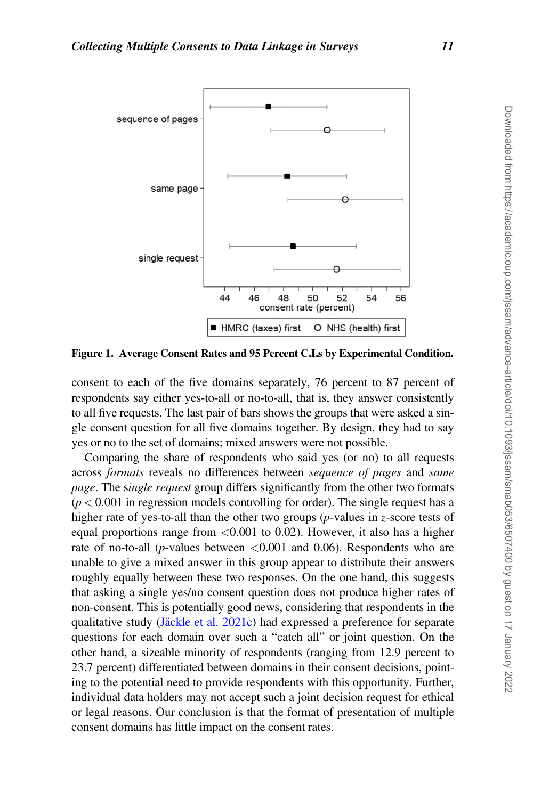<span id="page-10-0"></span>

Figure 1. Average Consent Rates and 95 Percent C.I.s by Experimental Condition.

consent to each of the five domains separately, 76 percent to 87 percent of respondents say either yes-to-all or no-to-all, that is, they answer consistently to all five requests. The last pair of bars shows the groups that were asked a single consent question for all five domains together. By design, they had to say yes or no to the set of domains; mixed answers were not possible.

Comparing the share of respondents who said yes (or no) to all requests across formats reveals no differences between sequence of pages and same page. The single request group differs significantly from the other two formats  $(p < 0.001$  in regression models controlling for order). The single request has a higher rate of yes-to-all than the other two groups ( $p$ -values in  $z$ -score tests of equal proportions range from  $\langle 0.001 \rangle$  to 0.02). However, it also has a higher rate of no-to-all (*p*-values between  $\langle 0.001 \rangle$  and 0.06). Respondents who are unable to give a mixed answer in this group appear to distribute their answers roughly equally between these two responses. On the one hand, this suggests that asking a single yes/no consent question does not produce higher rates of non-consent. This is potentially good news, considering that respondents in the qualitative study ([J](#page-21-0) $\frac{a}{c}$ kle et al. 2021c) had expressed a preference for separate questions for each domain over such a "catch all" or joint question. On the other hand, a sizeable minority of respondents (ranging from 12.9 percent to 23.7 percent) differentiated between domains in their consent decisions, pointing to the potential need to provide respondents with this opportunity. Further, individual data holders may not accept such a joint decision request for ethical or legal reasons. Our conclusion is that the format of presentation of multiple consent domains has little impact on the consent rates.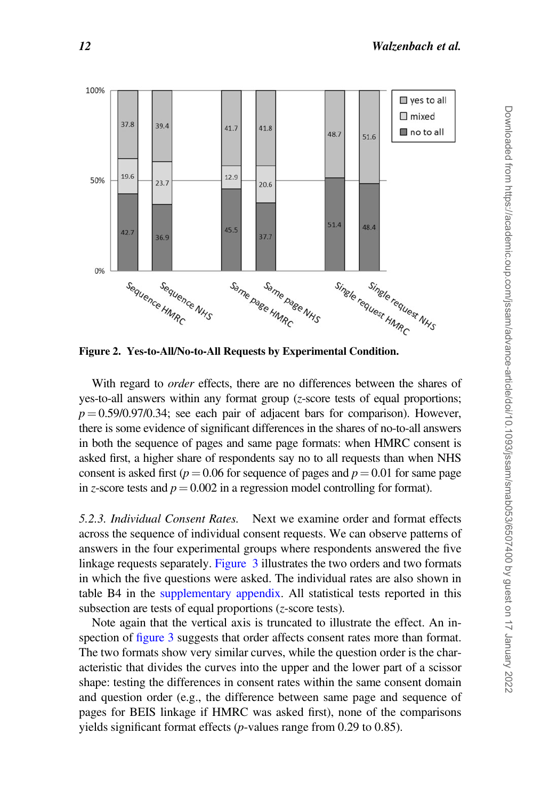<span id="page-11-0"></span>

Figure 2. Yes-to-All/No-to-All Requests by Experimental Condition.

With regard to *order* effects, there are no differences between the shares of yes-to-all answers within any format group (z-score tests of equal proportions;  $p = 0.59/0.97/0.34$ ; see each pair of adjacent bars for comparison). However, there is some evidence of significant differences in the shares of no-to-all answers in both the sequence of pages and same page formats: when HMRC consent is asked first, a higher share of respondents say no to all requests than when NHS consent is asked first ( $p = 0.06$  for sequence of pages and  $p = 0.01$  for same page in z-score tests and  $p = 0.002$  in a regression model controlling for format).

5.2.3. Individual Consent Rates. Next we examine order and format effects across the sequence of individual consent requests. We can observe patterns of answers in the four experimental groups where respondents answered the five linkage requests separately. [Figure 3](#page-12-0) illustrates the two orders and two formats in which the five questions were asked. The individual rates are also shown in table B4 in the [supplementary appendix](https://academic.oup.com/jssam/article-lookup/doi/10.1093/jssam/smab053#supplementary-data). All statistical tests reported in this subsection are tests of equal proportions (z-score tests).

Note again that the vertical axis is truncated to illustrate the effect. An inspection of [figure 3](#page-12-0) suggests that order affects consent rates more than format. The two formats show very similar curves, while the question order is the characteristic that divides the curves into the upper and the lower part of a scissor shape: testing the differences in consent rates within the same consent domain and question order (e.g., the difference between same page and sequence of pages for BEIS linkage if HMRC was asked first), none of the comparisons yields significant format effects (p-values range from 0.29 to 0.85).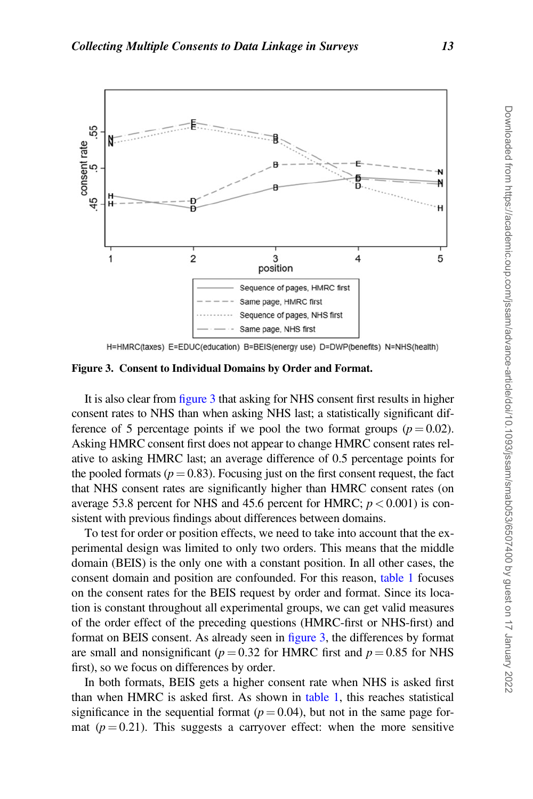<span id="page-12-0"></span>

H=HMRC(taxes) E=EDUC(education) B=BEIS(energy use) D=DWP(benefits) N=NHS(health)

Figure 3. Consent to Individual Domains by Order and Format.

It is also clear from figure 3 that asking for NHS consent first results in higher consent rates to NHS than when asking NHS last; a statistically significant difference of 5 percentage points if we pool the two format groups ( $p = 0.02$ ). Asking HMRC consent first does not appear to change HMRC consent rates relative to asking HMRC last; an average difference of 0.5 percentage points for the pooled formats ( $p = 0.83$ ). Focusing just on the first consent request, the fact that NHS consent rates are significantly higher than HMRC consent rates (on average 53.8 percent for NHS and 45.6 percent for HMRC;  $p < 0.001$ ) is consistent with previous findings about differences between domains.

To test for order or position effects, we need to take into account that the experimental design was limited to only two orders. This means that the middle domain (BEIS) is the only one with a constant position. In all other cases, the consent domain and position are confounded. For this reason, [table 1](#page-13-0) focuses on the consent rates for the BEIS request by order and format. Since its location is constant throughout all experimental groups, we can get valid measures of the order effect of the preceding questions (HMRC-first or NHS-first) and format on BEIS consent. As already seen in figure 3, the differences by format are small and nonsignificant ( $p = 0.32$  for HMRC first and  $p = 0.85$  for NHS first), so we focus on differences by order.

In both formats, BEIS gets a higher consent rate when NHS is asked first than when HMRC is asked first. As shown in [table 1](#page-13-0), this reaches statistical significance in the sequential format ( $p = 0.04$ ), but not in the same page format ( $p = 0.21$ ). This suggests a carryover effect: when the more sensitive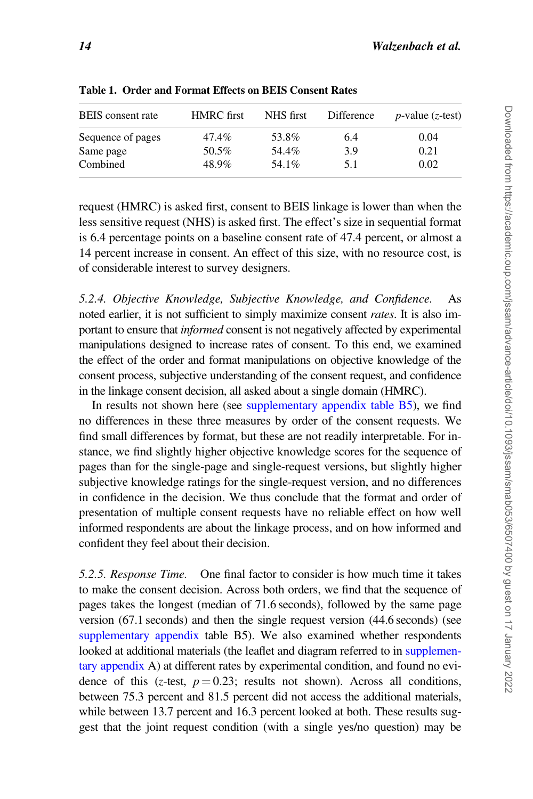| <b>BEIS</b> consent rate | <b>HMRC</b> first | NHS first | Difference | $p$ -value ( <i>z</i> -test) |  |
|--------------------------|-------------------|-----------|------------|------------------------------|--|
| Sequence of pages        | 47.4%             | 53.8%     | 6.4        | 0.04                         |  |
| Same page                | 50.5%             | 54.4%     | 3.9        | 0.21                         |  |
| Combined                 | 48.9%             | 54.1%     | 5.1        | 0.02                         |  |

<span id="page-13-0"></span>Table 1. Order and Format Effects on BEIS Consent Rates

request (HMRC) is asked first, consent to BEIS linkage is lower than when the less sensitive request (NHS) is asked first. The effect's size in sequential format is 6.4 percentage points on a baseline consent rate of 47.4 percent, or almost a 14 percent increase in consent. An effect of this size, with no resource cost, is of considerable interest to survey designers.

5.2.4. Objective Knowledge, Subjective Knowledge, and Confidence. As noted earlier, it is not sufficient to simply maximize consent *rates*. It is also important to ensure that *informed* consent is not negatively affected by experimental manipulations designed to increase rates of consent. To this end, we examined the effect of the order and format manipulations on objective knowledge of the consent process, subjective understanding of the consent request, and confidence in the linkage consent decision, all asked about a single domain (HMRC).

In results not shown here (see [supplementary appendix table B5](https://academic.oup.com/jssam/article-lookup/doi/10.1093/jssam/smab053#supplementary-data)), we find no differences in these three measures by order of the consent requests. We find small differences by format, but these are not readily interpretable. For instance, we find slightly higher objective knowledge scores for the sequence of pages than for the single-page and single-request versions, but slightly higher subjective knowledge ratings for the single-request version, and no differences in confidence in the decision. We thus conclude that the format and order of presentation of multiple consent requests have no reliable effect on how well informed respondents are about the linkage process, and on how informed and confident they feel about their decision.

5.2.5. Response Time. One final factor to consider is how much time it takes to make the consent decision. Across both orders, we find that the sequence of pages takes the longest (median of 71.6 seconds), followed by the same page version (67.1 seconds) and then the single request version (44.6 seconds) (see [supplementary appendix](https://academic.oup.com/jssam/article-lookup/doi/10.1093/jssam/smab053#supplementary-data) table B5). We also examined whether respondents looked at additional materials (the leaflet and diagram referred to in [supplemen](https://academic.oup.com/jssam/article-lookup/doi/10.1093/jssam/smab053#supplementary-data)[tary appendix](https://academic.oup.com/jssam/article-lookup/doi/10.1093/jssam/smab053#supplementary-data) A) at different rates by experimental condition, and found no evidence of this (z-test,  $p = 0.23$ ; results not shown). Across all conditions, between 75.3 percent and 81.5 percent did not access the additional materials, while between 13.7 percent and 16.3 percent looked at both. These results suggest that the joint request condition (with a single yes/no question) may be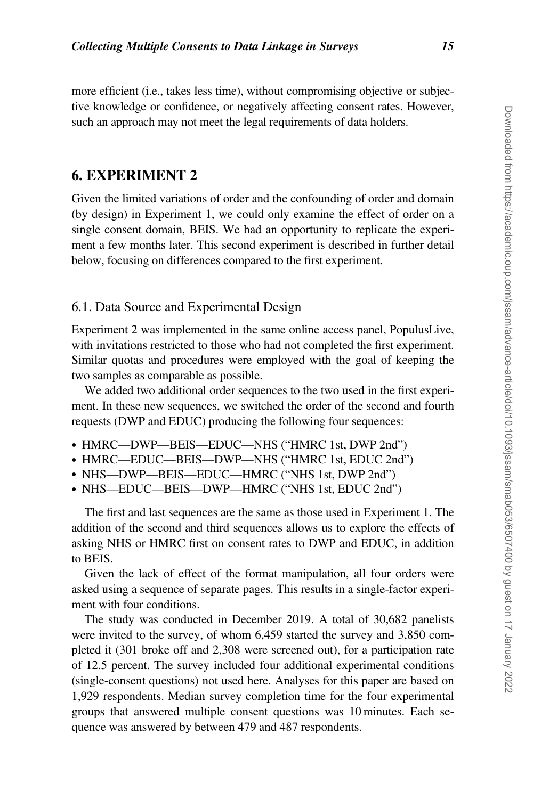more efficient (i.e., takes less time), without compromising objective or subjective knowledge or confidence, or negatively affecting consent rates. However, such an approach may not meet the legal requirements of data holders.

## 6. EXPERIMENT 2

Given the limited variations of order and the confounding of order and domain (by design) in Experiment 1, we could only examine the effect of order on a single consent domain, BEIS. We had an opportunity to replicate the experiment a few months later. This second experiment is described in further detail below, focusing on differences compared to the first experiment.

#### 6.1. Data Source and Experimental Design

Experiment 2 was implemented in the same online access panel, PopulusLive, with invitations restricted to those who had not completed the first experiment. Similar quotas and procedures were employed with the goal of keeping the two samples as comparable as possible.

We added two additional order sequences to the two used in the first experiment. In these new sequences, we switched the order of the second and fourth requests (DWP and EDUC) producing the following four sequences:

- HMRC—DWP—BEIS—EDUC—NHS ("HMRC 1st, DWP 2nd")
- HMRC—EDUC—BEIS—DWP—NHS ("HMRC 1st, EDUC 2nd")
- NHS—DWP—BEIS—EDUC—HMRC ("NHS 1st, DWP 2nd")
- NHS—EDUC—BEIS—DWP—HMRC ("NHS 1st, EDUC 2nd")

The first and last sequences are the same as those used in Experiment 1. The addition of the second and third sequences allows us to explore the effects of asking NHS or HMRC first on consent rates to DWP and EDUC, in addition to BEIS.

Given the lack of effect of the format manipulation, all four orders were asked using a sequence of separate pages. This results in a single-factor experiment with four conditions.

The study was conducted in December 2019. A total of 30,682 panelists were invited to the survey, of whom 6,459 started the survey and 3,850 completed it (301 broke off and 2,308 were screened out), for a participation rate of 12.5 percent. The survey included four additional experimental conditions (single-consent questions) not used here. Analyses for this paper are based on 1,929 respondents. Median survey completion time for the four experimental groups that answered multiple consent questions was 10 minutes. Each sequence was answered by between 479 and 487 respondents.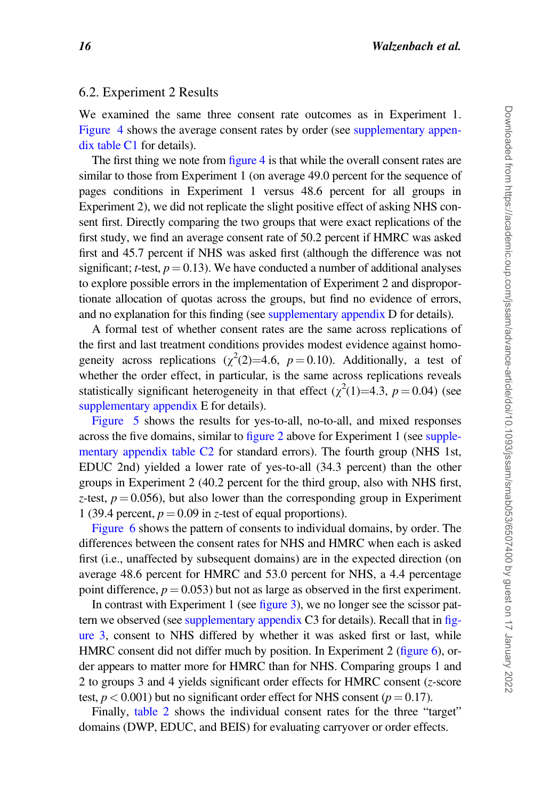#### 6.2. Experiment 2 Results

We examined the same three consent rate outcomes as in Experiment 1. [Figure 4](#page-16-0) shows the average consent rates by order (see [supplementary appen](https://academic.oup.com/jssam/article-lookup/doi/10.1093/jssam/smab053#supplementary-data)[dix](https://academic.oup.com/jssam/article-lookup/doi/10.1093/jssam/smab053#supplementary-data) [table C1](#page-13-0) for details).

The first thing we note from [figure 4](#page-16-0) is that while the overall consent rates are similar to those from Experiment 1 (on average 49.0 percent for the sequence of pages conditions in Experiment 1 versus 48.6 percent for all groups in Experiment 2), we did not replicate the slight positive effect of asking NHS consent first. Directly comparing the two groups that were exact replications of the first study, we find an average consent rate of 50.2 percent if HMRC was asked first and 45.7 percent if NHS was asked first (although the difference was not significant; t-test,  $p = 0.13$ ). We have conducted a number of additional analyses to explore possible errors in the implementation of Experiment 2 and disproportionate allocation of quotas across the groups, but find no evidence of errors, and no explanation for this finding (see [supplementary appendix](https://academic.oup.com/jssam/article-lookup/doi/10.1093/jssam/smab053#supplementary-data) D for details).

A formal test of whether consent rates are the same across replications of the first and last treatment conditions provides modest evidence against homogeneity across replications  $(\chi^2(2)=4.6, p=0.10)$ . Additionally, a test of whether the order effect, in particular, is the same across replications reveals statistically significant heterogeneity in that effect  $(\chi^2(1)=4.3, p=0.04)$  (see [supplementary appendix](https://academic.oup.com/jssam/article-lookup/doi/10.1093/jssam/smab053#supplementary-data) E for details).

[Figure 5](#page-17-0) shows the results for yes-to-all, no-to-all, and mixed responses across the five domains, similar to [figure 2](#page-11-0) above for Experiment 1 (see [supple](https://academic.oup.com/jssam/article-lookup/doi/10.1093/jssam/smab053#supplementary-data)[mentary appendix](https://academic.oup.com/jssam/article-lookup/doi/10.1093/jssam/smab053#supplementary-data) [table C2](#page-18-0) for standard errors). The fourth group (NHS 1st, EDUC 2nd) yielded a lower rate of yes-to-all (34.3 percent) than the other groups in Experiment 2 (40.2 percent for the third group, also with NHS first, z-test,  $p = 0.056$ ), but also lower than the corresponding group in Experiment 1 (39.4 percent,  $p = 0.09$  in z-test of equal proportions).

[Figure 6](#page-17-0) shows the pattern of consents to individual domains, by order. The differences between the consent rates for NHS and HMRC when each is asked first (i.e., unaffected by subsequent domains) are in the expected direction (on average 48.6 percent for HMRC and 53.0 percent for NHS, a 4.4 percentage point difference,  $p = 0.053$ ) but not as large as observed in the first experiment.

In contrast with Experiment 1 (see [figure 3](#page-12-0)), we no longer see the scissor pattern we observed (see [supplementary appendix](https://academic.oup.com/jssam/article-lookup/doi/10.1093/jssam/smab053#supplementary-data) C3 for details). Recall that in [fig](#page-12-0)[ure 3](#page-12-0), consent to NHS differed by whether it was asked first or last, while HMRC consent did not differ much by position. In Experiment 2 [\(figure 6\)](#page-17-0), order appears to matter more for HMRC than for NHS. Comparing groups 1 and 2 to groups 3 and 4 yields significant order effects for HMRC consent (z-score test,  $p < 0.001$ ) but no significant order effect for NHS consent ( $p = 0.17$ ).

Finally, [table 2](#page-18-0) shows the individual consent rates for the three "target" domains (DWP, EDUC, and BEIS) for evaluating carryover or order effects.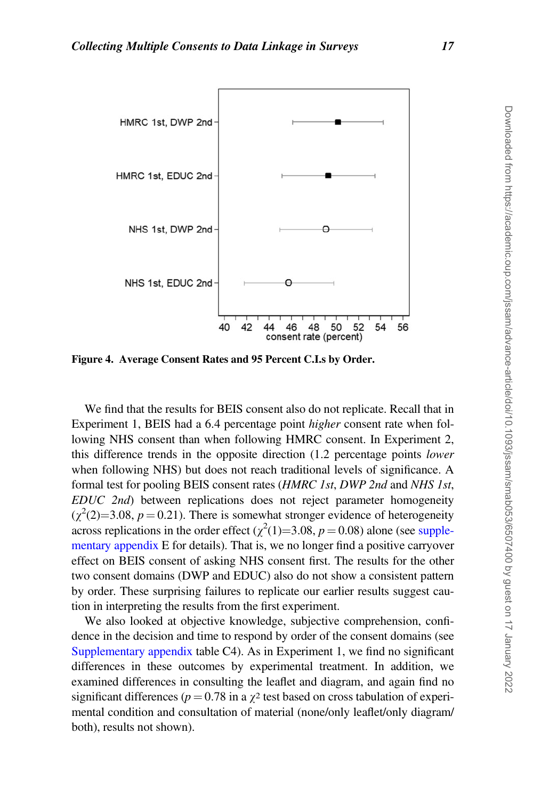<span id="page-16-0"></span>

Figure 4. Average Consent Rates and 95 Percent C.I.s by Order.

We find that the results for BEIS consent also do not replicate. Recall that in Experiment 1, BEIS had a 6.4 percentage point higher consent rate when following NHS consent than when following HMRC consent. In Experiment 2, this difference trends in the opposite direction (1.2 percentage points lower when following NHS) but does not reach traditional levels of significance. A formal test for pooling BEIS consent rates (HMRC 1st, DWP 2nd and NHS 1st, EDUC 2nd) between replications does not reject parameter homogeneity  $(\chi^2(2)=3.08, p=0.21)$ . There is somewhat stronger evidence of heterogeneity across replications in the order effect ( $\chi^2(1)=3.08$ ,  $p=0.08$ ) alone (see [supple](https://academic.oup.com/jssam/article-lookup/doi/10.1093/jssam/smab053#supplementary-data)[mentary appendix](https://academic.oup.com/jssam/article-lookup/doi/10.1093/jssam/smab053#supplementary-data) E for details). That is, we no longer find a positive carryover effect on BEIS consent of asking NHS consent first. The results for the other two consent domains (DWP and EDUC) also do not show a consistent pattern by order. These surprising failures to replicate our earlier results suggest caution in interpreting the results from the first experiment.

We also looked at objective knowledge, subjective comprehension, confidence in the decision and time to respond by order of the consent domains (see [Supplementary appendix](https://academic.oup.com/jssam/article-lookup/doi/10.1093/jssam/smab053#supplementary-data) table C4). As in Experiment 1, we find no significant differences in these outcomes by experimental treatment. In addition, we examined differences in consulting the leaflet and diagram, and again find no significant differences ( $p = 0.78$  in a  $\gamma^2$  test based on cross tabulation of experimental condition and consultation of material (none/only leaflet/only diagram/ both), results not shown).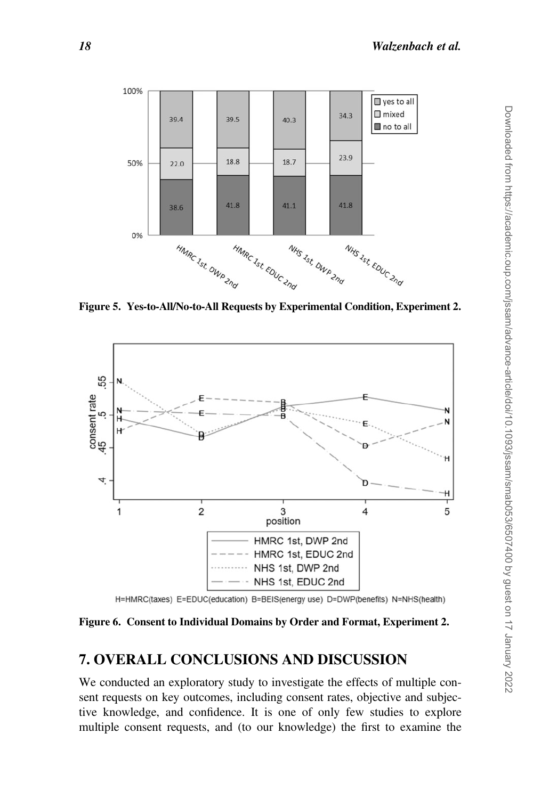<span id="page-17-0"></span>

Figure 5. Yes-to-All/No-to-All Requests by Experimental Condition, Experiment 2.



H=HMRC(taxes) E=EDUC(education) B=BEIS(energy use) D=DWP(benefits) N=NHS(health)

Figure 6. Consent to Individual Domains by Order and Format, Experiment 2.

## 7. OVERALL CONCLUSIONS AND DISCUSSION

We conducted an exploratory study to investigate the effects of multiple consent requests on key outcomes, including consent rates, objective and subjective knowledge, and confidence. It is one of only few studies to explore multiple consent requests, and (to our knowledge) the first to examine the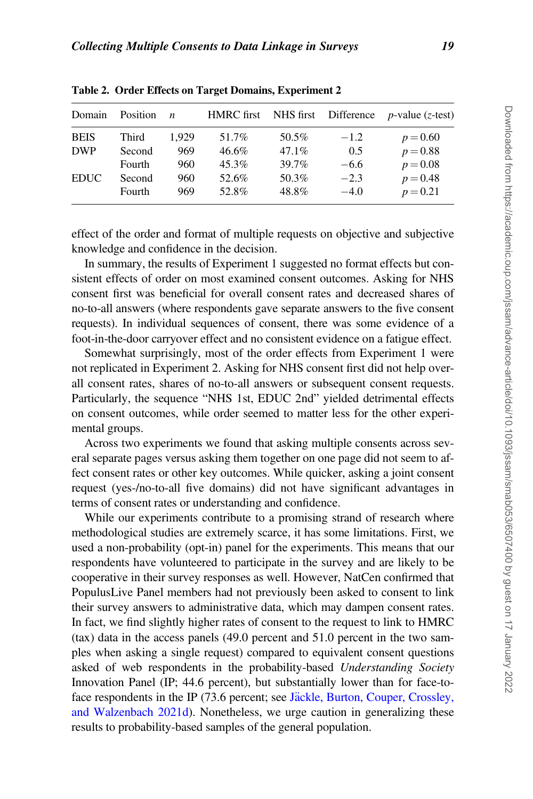| Domain      | Position | $\boldsymbol{n}$ | <b>HMRC</b> first | NHS first | Difference | <i>p</i> -value $(z$ -test) |
|-------------|----------|------------------|-------------------|-----------|------------|-----------------------------|
| <b>BEIS</b> | Third    | 1.929            | 51.7%             | 50.5%     | $-1.2$     | $p = 0.60$                  |
| <b>DWP</b>  | Second   | 969              | $46.6\%$          | $47.1\%$  | 0.5        | $p = 0.88$                  |
|             | Fourth   | 960              | 45.3%             | 39.7%     | $-6.6$     | $p = 0.08$                  |
| <b>EDUC</b> | Second   | 960              | 52.6%             | 50.3%     | $-2.3$     | $p = 0.48$                  |
|             | Fourth   | 969              | 52.8%             | 48.8%     | $-4.0$     | $p = 0.21$                  |

<span id="page-18-0"></span>Table 2. Order Effects on Target Domains, Experiment 2

effect of the order and format of multiple requests on objective and subjective knowledge and confidence in the decision.

In summary, the results of Experiment 1 suggested no format effects but consistent effects of order on most examined consent outcomes. Asking for NHS consent first was beneficial for overall consent rates and decreased shares of no-to-all answers (where respondents gave separate answers to the five consent requests). In individual sequences of consent, there was some evidence of a foot-in-the-door carryover effect and no consistent evidence on a fatigue effect.

Somewhat surprisingly, most of the order effects from Experiment 1 were not replicated in Experiment 2. Asking for NHS consent first did not help overall consent rates, shares of no-to-all answers or subsequent consent requests. Particularly, the sequence "NHS 1st, EDUC 2nd" yielded detrimental effects on consent outcomes, while order seemed to matter less for the other experimental groups.

Across two experiments we found that asking multiple consents across several separate pages versus asking them together on one page did not seem to affect consent rates or other key outcomes. While quicker, asking a joint consent request (yes-/no-to-all five domains) did not have significant advantages in terms of consent rates or understanding and confidence.

While our experiments contribute to a promising strand of research where methodological studies are extremely scarce, it has some limitations. First, we used a non-probability (opt-in) panel for the experiments. This means that our respondents have volunteered to participate in the survey and are likely to be cooperative in their survey responses as well. However, NatCen confirmed that PopulusLive Panel members had not previously been asked to consent to link their survey answers to administrative data, which may dampen consent rates. In fact, we find slightly higher rates of consent to the request to link to HMRC (tax) data in the access panels (49.0 percent and 51.0 percent in the two samples when asking a single request) compared to equivalent consent questions asked of web respondents in the probability-based Understanding Society Innovation Panel (IP; 44.6 percent), but substantially lower than for face-to-face respondents in the IP (73.6 percent; see [J](#page-21-0)äckle, Burton, Couper, Crossley, [and Walzenbach 2021d\)](#page-21-0). Nonetheless, we urge caution in generalizing these results to probability-based samples of the general population.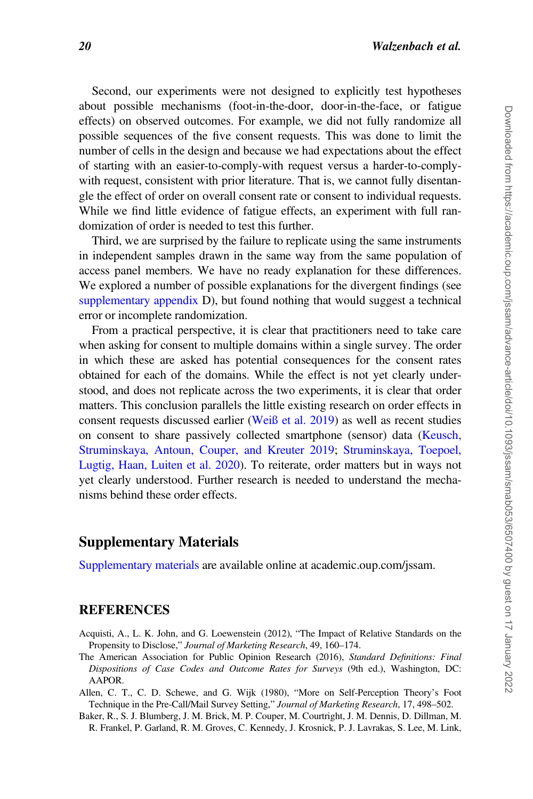<span id="page-19-0"></span>Second, our experiments were not designed to explicitly test hypotheses about possible mechanisms (foot-in-the-door, door-in-the-face, or fatigue effects) on observed outcomes. For example, we did not fully randomize all possible sequences of the five consent requests. This was done to limit the number of cells in the design and because we had expectations about the effect of starting with an easier-to-comply-with request versus a harder-to-complywith request, consistent with prior literature. That is, we cannot fully disentangle the effect of order on overall consent rate or consent to individual requests. While we find little evidence of fatigue effects, an experiment with full randomization of order is needed to test this further.

Third, we are surprised by the failure to replicate using the same instruments in independent samples drawn in the same way from the same population of access panel members. We have no ready explanation for these differences. We explored a number of possible explanations for the divergent findings (see [supplementary appendix](https://academic.oup.com/jssam/article-lookup/doi/10.1093/jssam/smab053#supplementary-data) D), but found nothing that would suggest a technical error or incomplete randomization.

From a practical perspective, it is clear that practitioners need to take care when asking for consent to multiple domains within a single survey. The order in which these are asked has potential consequences for the consent rates obtained for each of the domains. While the effect is not yet clearly understood, and does not replicate across the two experiments, it is clear that order matters. This conclusion parallels the little existing research on order effects in consent requests discussed earlier [\(Weiß et al. 2019](#page-22-0)) as well as recent studies on consent to share passively collected smartphone (sensor) data [\(Keusch,](#page-21-0) [Struminskaya, Antoun, Couper, and Kreuter 2019;](#page-21-0) [Struminskaya, Toepoel,](#page-22-0) [Lugtig, Haan, Luiten et al. 2020](#page-22-0)). To reiterate, order matters but in ways not yet clearly understood. Further research is needed to understand the mechanisms behind these order effects.

## Supplementary Materials

[Supplementary materials](https://academic.oup.com/jssam/article-lookup/doi/10.1093/jssam/smab053#supplementary-data) are available online at academic.oup.com/jssam.

#### **REFERENCES**

- Acquisti, A., L. K. John, and G. Loewenstein (2012), "The Impact of Relative Standards on the Propensity to Disclose," Journal of Marketing Research, 49, 160–174.
- The American Association for Public Opinion Research (2016), Standard Definitions: Final Dispositions of Case Codes and Outcome Rates for Surveys (9th ed.), Washington, DC: AAPOR.
- Allen, C. T., C. D. Schewe, and G. Wijk (1980), "More on Self-Perception Theory's Foot Technique in the Pre-Call/Mail Survey Setting," Journal of Marketing Research, 17, 498–502.
- Baker, R., S. J. Blumberg, J. M. Brick, M. P. Couper, M. Courtright, J. M. Dennis, D. Dillman, M. R. Frankel, P. Garland, R. M. Groves, C. Kennedy, J. Krosnick, P. J. Lavrakas, S. Lee, M. Link,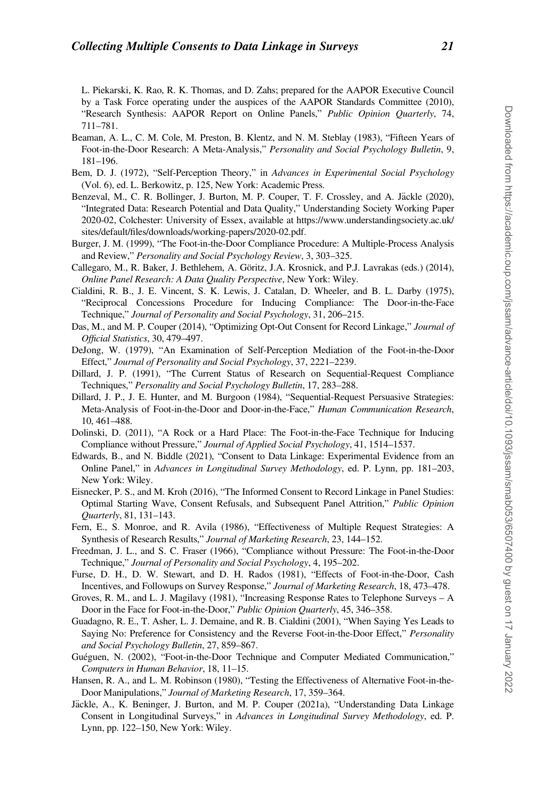<span id="page-20-0"></span>L. Piekarski, K. Rao, R. K. Thomas, and D. Zahs; prepared for the AAPOR Executive Council by a Task Force operating under the auspices of the AAPOR Standards Committee (2010), "Research Synthesis: AAPOR Report on Online Panels," Public Opinion Quarterly, 74, 711–781.

- Beaman, A. L., C. M. Cole, M. Preston, B. Klentz, and N. M. Steblay (1983), "Fifteen Years of Foot-in-the-Door Research: A Meta-Analysis," Personality and Social Psychology Bulletin, 9, 181–196.
- Bem, D. J. (1972), "Self-Perception Theory," in Advances in Experimental Social Psychology (Vol. 6), ed. L. Berkowitz, p. 125, New York: Academic Press.
- Benzeval, M., C. R. Bollinger, J. Burton, M. P. Couper, T. F. Crossley, and A. Jäckle (2020), "Integrated Data: Research Potential and Data Quality," Understanding Society Working Paper 2020-02, Colchester: University of Essex, available at [https://www.understandingsociety.ac.uk/](https://www.understandingsociety.ac.uk/sites/default/files/downloads/working-papers/2020-02.pdf) [sites/default/files/downloads/working-papers/2020-02.pdf](https://www.understandingsociety.ac.uk/sites/default/files/downloads/working-papers/2020-02.pdf).
- Burger, J. M. (1999), "The Foot-in-the-Door Compliance Procedure: A Multiple-Process Analysis and Review," Personality and Social Psychology Review, 3, 303–325.
- Callegaro, M., R. Baker, J. Bethlehem, A. Göritz, J.A. Krosnick, and P.J. Lavrakas (eds.) (2014), Online Panel Research: A Data Quality Perspective, New York: Wiley.
- Cialdini, R. B., J. E. Vincent, S. K. Lewis, J. Catalan, D. Wheeler, and B. L. Darby (1975), "Reciprocal Concessions Procedure for Inducing Compliance: The Door-in-the-Face Technique," Journal of Personality and Social Psychology, 31, 206–215.
- Das, M., and M. P. Couper (2014), "Optimizing Opt-Out Consent for Record Linkage," Journal of Official Statistics, 30, 479–497.
- DeJong, W. (1979), "An Examination of Self-Perception Mediation of the Foot-in-the-Door Effect," Journal of Personality and Social Psychology, 37, 2221–2239.
- Dillard, J. P. (1991), "The Current Status of Research on Sequential-Request Compliance Techniques," Personality and Social Psychology Bulletin, 17, 283–288.
- Dillard, J. P., J. E. Hunter, and M. Burgoon (1984), "Sequential-Request Persuasive Strategies: Meta-Analysis of Foot-in-the-Door and Door-in-the-Face," Human Communication Research, 10, 461–488.
- Dolinski, D. (2011), "A Rock or a Hard Place: The Foot-in-the-Face Technique for Inducing Compliance without Pressure," Journal of Applied Social Psychology, 41, 1514–1537.
- Edwards, B., and N. Biddle (2021), "Consent to Data Linkage: Experimental Evidence from an Online Panel," in Advances in Longitudinal Survey Methodology, ed. P. Lynn, pp. 181–203, New York: Wiley.
- Eisnecker, P. S., and M. Kroh (2016), "The Informed Consent to Record Linkage in Panel Studies: Optimal Starting Wave, Consent Refusals, and Subsequent Panel Attrition," Public Opinion Quarterly, 81, 131–143.
- Fern, E., S. Monroe, and R. Avila (1986), "Effectiveness of Multiple Request Strategies: A Synthesis of Research Results," Journal of Marketing Research, 23, 144–152.
- Freedman, J. L., and S. C. Fraser (1966), "Compliance without Pressure: The Foot-in-the-Door Technique," Journal of Personality and Social Psychology, 4, 195–202.
- Furse, D. H., D. W. Stewart, and D. H. Rados (1981), "Effects of Foot-in-the-Door, Cash Incentives, and Followups on Survey Response," Journal of Marketing Research, 18, 473–478.
- Groves, R. M., and L. J. Magilavy (1981), "Increasing Response Rates to Telephone Surveys A Door in the Face for Foot-in-the-Door," Public Opinion Quarterly, 45, 346–358.
- Guadagno, R. E., T. Asher, L. J. Demaine, and R. B. Cialdini (2001), "When Saying Yes Leads to Saying No: Preference for Consistency and the Reverse Foot-in-the-Door Effect," Personality and Social Psychology Bulletin, 27, 859–867.
- Guéguen, N. (2002), "Foot-in-the-Door Technique and Computer Mediated Communication," Computers in Human Behavior, 18, 11–15.
- Hansen, R. A., and L. M. Robinson (1980), "Testing the Effectiveness of Alternative Foot-in-the-Door Manipulations," Journal of Marketing Research, 17, 359–364.
- Jäckle, A., K. Beninger, J. Burton, and M. P. Couper (2021a), "Understanding Data Linkage Consent in Longitudinal Surveys," in Advances in Longitudinal Survey Methodology, ed. P. Lynn, pp. 122–150, New York: Wiley.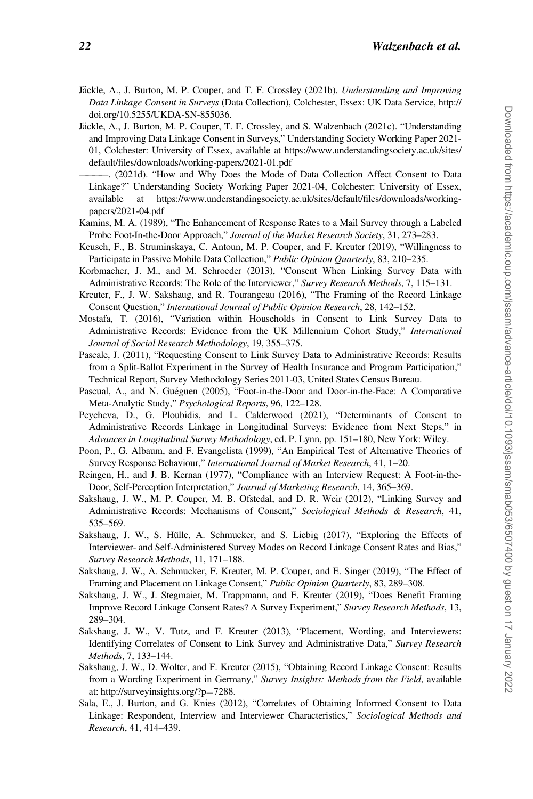- <span id="page-21-0"></span>Jäckle, A., J. Burton, M. P. Couper, and T. F. Crossley (2021b). Understanding and Improving Data Linkage Consent in Surveys (Data Collection), Colchester, Essex: UK Data Service, http:// doi.org/10.5255/UKDA-SN-855036.
- Jäckle, A., J. Burton, M. P. Couper, T. F. Crossley, and S. Walzenbach (2021c). "Understanding and Improving Data Linkage Consent in Surveys," Understanding Society Working Paper 2021- 01, Colchester: University of Essex, available at [https://www.understandingsociety.ac.uk/sites/](https://www.understandingsociety.ac.uk/sites/default/files/downloads/working-papers/2021-01.pdf) [default/files/downloads/working-papers/2021-01.pdf](https://www.understandingsociety.ac.uk/sites/default/files/downloads/working-papers/2021-01.pdf)

————. (2021d). "How and Why Does the Mode of Data Collection Affect Consent to Data Linkage?" Understanding Society Working Paper 2021-04, Colchester: University of Essex, available at [https://www.understandingsociety.ac.uk/sites/default/files/downloads/working](https://www.understandingsociety.ac.uk/sites/default/files/downloads/working-papers/2021-04.pdf)[papers/2021-04.pdf](https://www.understandingsociety.ac.uk/sites/default/files/downloads/working-papers/2021-04.pdf)

- Kamins, M. A. (1989), "The Enhancement of Response Rates to a Mail Survey through a Labeled Probe Foot-In-the-Door Approach," Journal of the Market Research Society, 31, 273–283.
- Keusch, F., B. Struminskaya, C. Antoun, M. P. Couper, and F. Kreuter (2019), "Willingness to Participate in Passive Mobile Data Collection," Public Opinion Quarterly, 83, 210-235.
- Korbmacher, J. M., and M. Schroeder (2013), "Consent When Linking Survey Data with Administrative Records: The Role of the Interviewer," Survey Research Methods, 7, 115-131.
- Kreuter, F., J. W. Sakshaug, and R. Tourangeau (2016), "The Framing of the Record Linkage Consent Question," International Journal of Public Opinion Research, 28, 142–152.
- Mostafa, T. (2016), "Variation within Households in Consent to Link Survey Data to Administrative Records: Evidence from the UK Millennium Cohort Study," International Journal of Social Research Methodology, 19, 355–375.
- Pascale, J. (2011), "Requesting Consent to Link Survey Data to Administrative Records: Results from a Split-Ballot Experiment in the Survey of Health Insurance and Program Participation," Technical Report, Survey Methodology Series 2011-03, United States Census Bureau.
- Pascual, A., and N. Guéguen (2005), "Foot-in-the-Door and Door-in-the-Face: A Comparative Meta-Analytic Study," Psychological Reports, 96, 122–128.
- Peycheva, D., G. Ploubidis, and L. Calderwood (2021), "Determinants of Consent to Administrative Records Linkage in Longitudinal Surveys: Evidence from Next Steps," in Advances in Longitudinal Survey Methodology, ed. P. Lynn, pp. 151–180, New York: Wiley.
- Poon, P., G. Albaum, and F. Evangelista (1999), "An Empirical Test of Alternative Theories of Survey Response Behaviour," International Journal of Market Research, 41, 1–20.
- Reingen, H., and J. B. Kernan (1977), "Compliance with an Interview Request: A Foot-in-the-Door, Self-Perception Interpretation," Journal of Marketing Research, 14, 365–369.
- Sakshaug, J. W., M. P. Couper, M. B. Ofstedal, and D. R. Weir (2012), "Linking Survey and Administrative Records: Mechanisms of Consent," Sociological Methods & Research, 41, 535–569.
- Sakshaug, J. W., S. Hülle, A. Schmucker, and S. Liebig (2017), "Exploring the Effects of Interviewer- and Self-Administered Survey Modes on Record Linkage Consent Rates and Bias," Survey Research Methods, 11, 171–188.
- Sakshaug, J. W., A. Schmucker, F. Kreuter, M. P. Couper, and E. Singer (2019), "The Effect of Framing and Placement on Linkage Consent," Public Opinion Quarterly, 83, 289–308.
- Sakshaug, J. W., J. Stegmaier, M. Trappmann, and F. Kreuter (2019), "Does Benefit Framing Improve Record Linkage Consent Rates? A Survey Experiment," Survey Research Methods, 13, 289–304.
- Sakshaug, J. W., V. Tutz, and F. Kreuter (2013), "Placement, Wording, and Interviewers: Identifying Correlates of Consent to Link Survey and Administrative Data," Survey Research Methods, 7, 133–144.
- Sakshaug, J. W., D. Wolter, and F. Kreuter (2015), "Obtaining Record Linkage Consent: Results from a Wording Experiment in Germany," Survey Insights: Methods from the Field, available at: [http://surveyinsights.org/?p](http://surveyinsights.org/?p=7288)=[7288.](http://surveyinsights.org/?p=7288)
- Sala, E., J. Burton, and G. Knies (2012), "Correlates of Obtaining Informed Consent to Data Linkage: Respondent, Interview and Interviewer Characteristics," Sociological Methods and Research, 41, 414–439.